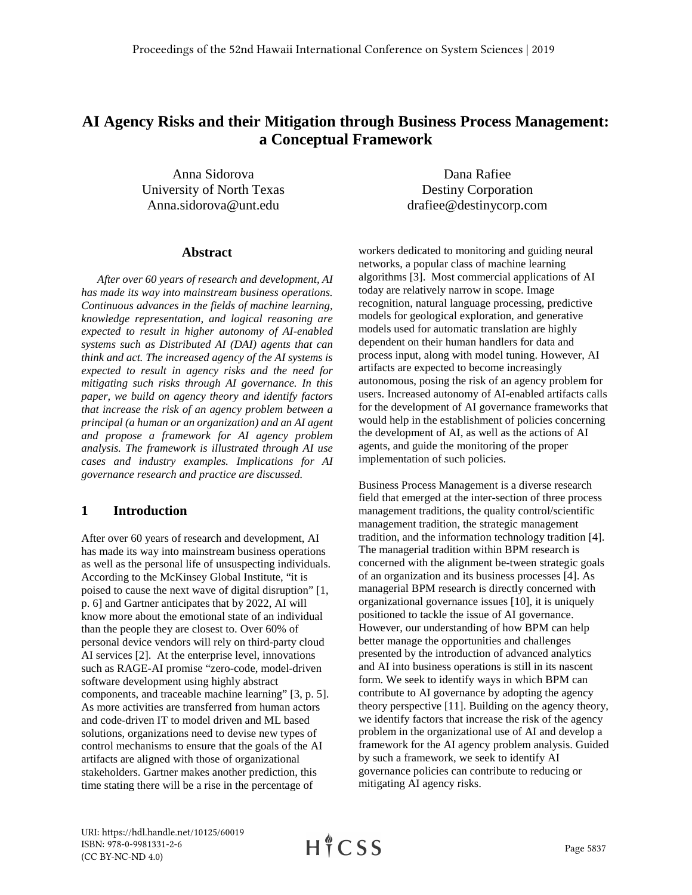# **AI Agency Risks and their Mitigation through Business Process Management: a Conceptual Framework**

Anna Sidorova University of North Texas Anna.sidorova@unt.edu

Dana Rafiee Destiny Corporation drafiee@destinycorp.com

#### **Abstract**

*After over 60 years of research and development, AI has made its way into mainstream business operations. Continuous advances in the fields of machine learning, knowledge representation, and logical reasoning are expected to result in higher autonomy of AI-enabled systems such as Distributed AI (DAI) agents that can think and act. The increased agency of the AI systems is expected to result in agency risks and the need for mitigating such risks through AI governance. In this paper, we build on agency theory and identify factors that increase the risk of an agency problem between a principal (a human or an organization) and an AI agent and propose a framework for AI agency problem analysis. The framework is illustrated through AI use cases and industry examples. Implications for AI governance research and practice are discussed.*

### **1 Introduction**

After over 60 years of research and development, AI has made its way into mainstream business operations as well as the personal life of unsuspecting individuals. According to the McKinsey Global Institute, "it is poised to cause the next wave of digital disruption" [1, p. 6] and Gartner anticipates that by 2022, AI will know more about the emotional state of an individual than the people they are closest to. Over 60% of personal device vendors will rely on third-party cloud AI services [2]. At the enterprise level, innovations such as RAGE-AI promise "zero-code, model-driven software development using highly abstract components, and traceable machine learning" [3, p. 5]. As more activities are transferred from human actors and code-driven IT to model driven and ML based solutions, organizations need to devise new types of control mechanisms to ensure that the goals of the AI artifacts are aligned with those of organizational stakeholders. Gartner makes another prediction, this time stating there will be a rise in the percentage of

workers dedicated to monitoring and guiding neural networks, a popular class of machine learning algorithms [3]. Most commercial applications of AI today are relatively narrow in scope. Image recognition, natural language processing, predictive models for geological exploration, and generative models used for automatic translation are highly dependent on their human handlers for data and process input, along with model tuning. However, AI artifacts are expected to become increasingly autonomous, posing the risk of an agency problem for users. Increased autonomy of AI-enabled artifacts calls for the development of AI governance frameworks that would help in the establishment of policies concerning the development of AI, as well as the actions of AI agents, and guide the monitoring of the proper implementation of such policies.

Business Process Management is a diverse research field that emerged at the inter-section of three process management traditions, the quality control/scientific management tradition, the strategic management tradition, and the information technology tradition [4]. The managerial tradition within BPM research is concerned with the alignment be-tween strategic goals of an organization and its business processes [4]. As managerial BPM research is directly concerned with organizational governance issues [10], it is uniquely positioned to tackle the issue of AI governance. However, our understanding of how BPM can help better manage the opportunities and challenges presented by the introduction of advanced analytics and AI into business operations is still in its nascent form. We seek to identify ways in which BPM can contribute to AI governance by adopting the agency theory perspective [11]. Building on the agency theory, we identify factors that increase the risk of the agency problem in the organizational use of AI and develop a framework for the AI agency problem analysis. Guided by such a framework, we seek to identify AI governance policies can contribute to reducing or mitigating AI agency risks.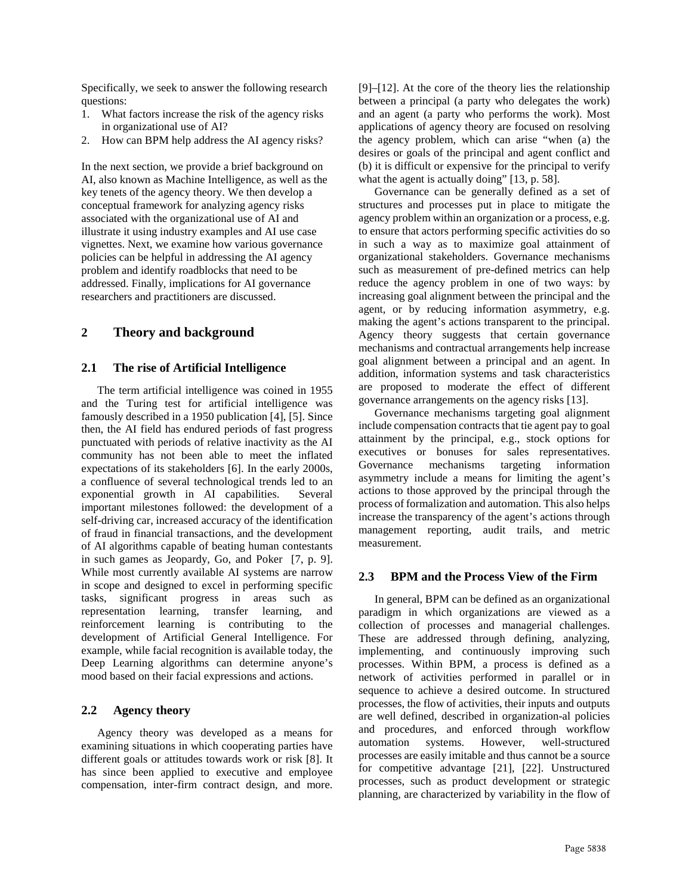Specifically, we seek to answer the following research questions:

- 1. What factors increase the risk of the agency risks in organizational use of AI?
- How can BPM help address the AI agency risks?

In the next section, we provide a brief background on AI, also known as Machine Intelligence, as well as the key tenets of the agency theory. We then develop a conceptual framework for analyzing agency risks associated with the organizational use of AI and illustrate it using industry examples and AI use case vignettes. Next, we examine how various governance policies can be helpful in addressing the AI agency problem and identify roadblocks that need to be addressed. Finally, implications for AI governance researchers and practitioners are discussed.

### **2 Theory and background**

### **2.1 The rise of Artificial Intelligence**

The term artificial intelligence was coined in 1955 and the Turing test for artificial intelligence was famously described in a 1950 publication [4], [5]. Since then, the AI field has endured periods of fast progress punctuated with periods of relative inactivity as the AI community has not been able to meet the inflated expectations of its stakeholders [6]. In the early 2000s, a confluence of several technological trends led to an exponential growth in AI capabilities. Several important milestones followed: the development of a self-driving car, increased accuracy of the identification of fraud in financial transactions, and the development of AI algorithms capable of beating human contestants in such games as Jeopardy, Go, and Poker [7, p. 9]. While most currently available AI systems are narrow in scope and designed to excel in performing specific tasks, significant progress in areas such as representation learning, transfer learning, and reinforcement learning is contributing to the development of Artificial General Intelligence. For example, while facial recognition is available today, the Deep Learning algorithms can determine anyone's mood based on their facial expressions and actions.

### **2.2 Agency theory**

Agency theory was developed as a means for examining situations in which cooperating parties have different goals or attitudes towards work or risk [8]. It has since been applied to executive and employee compensation, inter-firm contract design, and more.

[9]–[12]. At the core of the theory lies the relationship between a principal (a party who delegates the work) and an agent (a party who performs the work). Most applications of agency theory are focused on resolving the agency problem, which can arise "when (a) the desires or goals of the principal and agent conflict and (b) it is difficult or expensive for the principal to verify what the agent is actually doing" [13, p. 58].

Governance can be generally defined as a set of structures and processes put in place to mitigate the agency problem within an organization or a process, e.g. to ensure that actors performing specific activities do so in such a way as to maximize goal attainment of organizational stakeholders. Governance mechanisms such as measurement of pre-defined metrics can help reduce the agency problem in one of two ways: by increasing goal alignment between the principal and the agent, or by reducing information asymmetry, e.g. making the agent's actions transparent to the principal. Agency theory suggests that certain governance mechanisms and contractual arrangements help increase goal alignment between a principal and an agent. In addition, information systems and task characteristics are proposed to moderate the effect of different governance arrangements on the agency risks [13].

Governance mechanisms targeting goal alignment include compensation contracts that tie agent pay to goal attainment by the principal, e.g., stock options for executives or bonuses for sales representatives. Governance mechanisms targeting information asymmetry include a means for limiting the agent's actions to those approved by the principal through the process of formalization and automation. This also helps increase the transparency of the agent's actions through management reporting, audit trails, and metric measurement.

### **2.3 BPM and the Process View of the Firm**

In general, BPM can be defined as an organizational paradigm in which organizations are viewed as a collection of processes and managerial challenges. These are addressed through defining, analyzing, implementing, and continuously improving such processes. Within BPM, a process is defined as a network of activities performed in parallel or in sequence to achieve a desired outcome. In structured processes, the flow of activities, their inputs and outputs are well defined, described in organization-al policies and procedures, and enforced through workflow automation systems. However, well-structured processes are easily imitable and thus cannot be a source for competitive advantage [21], [22]. Unstructured processes, such as product development or strategic planning, are characterized by variability in the flow of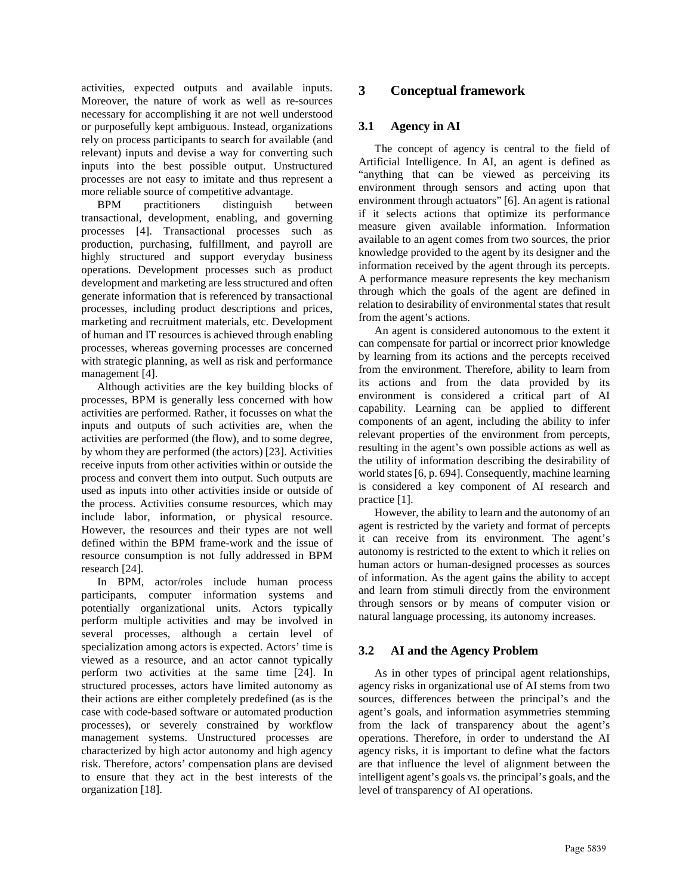activities, expected outputs and available inputs. Moreover, the nature of work as well as re-sources necessary for accomplishing it are not well understood or purposefully kept ambiguous. Instead, organizations rely on process participants to search for available (and relevant) inputs and devise a way for converting such inputs into the best possible output. Unstructured processes are not easy to imitate and thus represent a more reliable source of competitive advantage.

BPM practitioners distinguish between transactional, development, enabling, and governing processes [4]. Transactional processes such as production, purchasing, fulfillment, and payroll are highly structured and support everyday business operations. Development processes such as product development and marketing are less structured and often generate information that is referenced by transactional processes, including product descriptions and prices, marketing and recruitment materials, etc. Development of human and IT resources is achieved through enabling processes, whereas governing processes are concerned with strategic planning, as well as risk and performance management [4].

Although activities are the key building blocks of processes, BPM is generally less concerned with how activities are performed. Rather, it focusses on what the inputs and outputs of such activities are, when the activities are performed (the flow), and to some degree, by whom they are performed (the actors) [23]. Activities receive inputs from other activities within or outside the process and convert them into output. Such outputs are used as inputs into other activities inside or outside of the process. Activities consume resources, which may include labor, information, or physical resource. However, the resources and their types are not well defined within the BPM frame-work and the issue of resource consumption is not fully addressed in BPM research [24].

In BPM, actor/roles include human process participants, computer information systems and potentially organizational units. Actors typically perform multiple activities and may be involved in several processes, although a certain level of specialization among actors is expected. Actors' time is viewed as a resource, and an actor cannot typically perform two activities at the same time [24]. In structured processes, actors have limited autonomy as their actions are either completely predefined (as is the case with code-based software or automated production processes), or severely constrained by workflow management systems. Unstructured processes are characterized by high actor autonomy and high agency risk. Therefore, actors' compensation plans are devised to ensure that they act in the best interests of the organization [18].

## **3 Conceptual framework**

### **3.1 Agency in AI**

The concept of agency is central to the field of Artificial Intelligence. In AI, an agent is defined as "anything that can be viewed as perceiving its environment through sensors and acting upon that environment through actuators" [6]. An agent is rational if it selects actions that optimize its performance measure given available information. Information available to an agent comes from two sources, the prior knowledge provided to the agent by its designer and the information received by the agent through its percepts. A performance measure represents the key mechanism through which the goals of the agent are defined in relation to desirability of environmental states that result from the agent's actions.

An agent is considered autonomous to the extent it can compensate for partial or incorrect prior knowledge by learning from its actions and the percepts received from the environment. Therefore, ability to learn from its actions and from the data provided by its environment is considered a critical part of AI capability. Learning can be applied to different components of an agent, including the ability to infer relevant properties of the environment from percepts, resulting in the agent's own possible actions as well as the utility of information describing the desirability of world states [6, p. 694]. Consequently, machine learning is considered a key component of AI research and practice [1].

However, the ability to learn and the autonomy of an agent is restricted by the variety and format of percepts it can receive from its environment. The agent's autonomy is restricted to the extent to which it relies on human actors or human-designed processes as sources of information. As the agent gains the ability to accept and learn from stimuli directly from the environment through sensors or by means of computer vision or natural language processing, its autonomy increases.

### **3.2 AI and the Agency Problem**

As in other types of principal agent relationships, agency risks in organizational use of AI stems from two sources, differences between the principal's and the agent's goals, and information asymmetries stemming from the lack of transparency about the agent's operations. Therefore, in order to understand the AI agency risks, it is important to define what the factors are that influence the level of alignment between the intelligent agent's goals vs. the principal's goals, and the level of transparency of AI operations.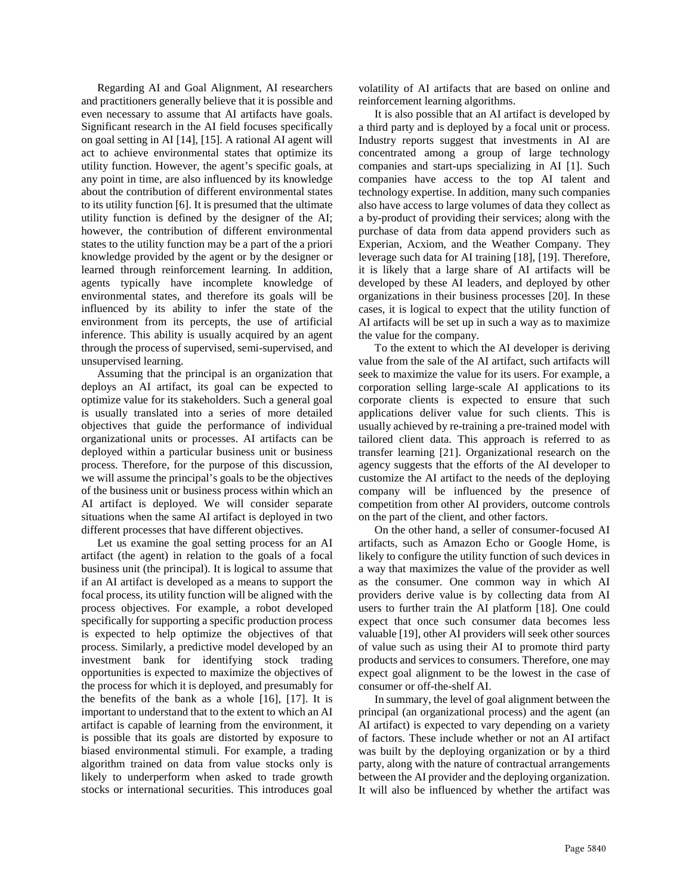Regarding AI and Goal Alignment, AI researchers and practitioners generally believe that it is possible and even necessary to assume that AI artifacts have goals. Significant research in the AI field focuses specifically on goal setting in AI [14], [15]. A rational AI agent will act to achieve environmental states that optimize its utility function. However, the agent's specific goals, at any point in time, are also influenced by its knowledge about the contribution of different environmental states to its utility function [6]. It is presumed that the ultimate utility function is defined by the designer of the AI; however, the contribution of different environmental states to the utility function may be a part of the a priori knowledge provided by the agent or by the designer or learned through reinforcement learning. In addition, agents typically have incomplete knowledge of environmental states, and therefore its goals will be influenced by its ability to infer the state of the environment from its percepts, the use of artificial inference. This ability is usually acquired by an agent through the process of supervised, semi-supervised, and unsupervised learning.

Assuming that the principal is an organization that deploys an AI artifact, its goal can be expected to optimize value for its stakeholders. Such a general goal is usually translated into a series of more detailed objectives that guide the performance of individual organizational units or processes. AI artifacts can be deployed within a particular business unit or business process. Therefore, for the purpose of this discussion, we will assume the principal's goals to be the objectives of the business unit or business process within which an AI artifact is deployed. We will consider separate situations when the same AI artifact is deployed in two different processes that have different objectives.

Let us examine the goal setting process for an AI artifact (the agent) in relation to the goals of a focal business unit (the principal). It is logical to assume that if an AI artifact is developed as a means to support the focal process, its utility function will be aligned with the process objectives. For example, a robot developed specifically for supporting a specific production process is expected to help optimize the objectives of that process. Similarly, a predictive model developed by an investment bank for identifying stock trading opportunities is expected to maximize the objectives of the process for which it is deployed, and presumably for the benefits of the bank as a whole [16], [17]. It is important to understand that to the extent to which an AI artifact is capable of learning from the environment, it is possible that its goals are distorted by exposure to biased environmental stimuli. For example, a trading algorithm trained on data from value stocks only is likely to underperform when asked to trade growth stocks or international securities. This introduces goal

volatility of AI artifacts that are based on online and reinforcement learning algorithms.

It is also possible that an AI artifact is developed by a third party and is deployed by a focal unit or process. Industry reports suggest that investments in AI are concentrated among a group of large technology companies and start-ups specializing in AI [1]. Such companies have access to the top AI talent and technology expertise. In addition, many such companies also have access to large volumes of data they collect as a by-product of providing their services; along with the purchase of data from data append providers such as Experian, Acxiom, and the Weather Company. They leverage such data for AI training [18], [19]. Therefore, it is likely that a large share of AI artifacts will be developed by these AI leaders, and deployed by other organizations in their business processes [20]. In these cases, it is logical to expect that the utility function of AI artifacts will be set up in such a way as to maximize the value for the company.

To the extent to which the AI developer is deriving value from the sale of the AI artifact, such artifacts will seek to maximize the value for its users. For example, a corporation selling large-scale AI applications to its corporate clients is expected to ensure that such applications deliver value for such clients. This is usually achieved by re-training a pre-trained model with tailored client data. This approach is referred to as transfer learning [21]. Organizational research on the agency suggests that the efforts of the AI developer to customize the AI artifact to the needs of the deploying company will be influenced by the presence of competition from other AI providers, outcome controls on the part of the client, and other factors.

On the other hand, a seller of consumer-focused AI artifacts, such as Amazon Echo or Google Home, is likely to configure the utility function of such devices in a way that maximizes the value of the provider as well as the consumer. One common way in which AI providers derive value is by collecting data from AI users to further train the AI platform [18]. One could expect that once such consumer data becomes less valuable [19], other AI providers will seek other sources of value such as using their AI to promote third party products and services to consumers. Therefore, one may expect goal alignment to be the lowest in the case of consumer or off-the-shelf AI.

In summary, the level of goal alignment between the principal (an organizational process) and the agent (an AI artifact) is expected to vary depending on a variety of factors. These include whether or not an AI artifact was built by the deploying organization or by a third party, along with the nature of contractual arrangements between the AI provider and the deploying organization. It will also be influenced by whether the artifact was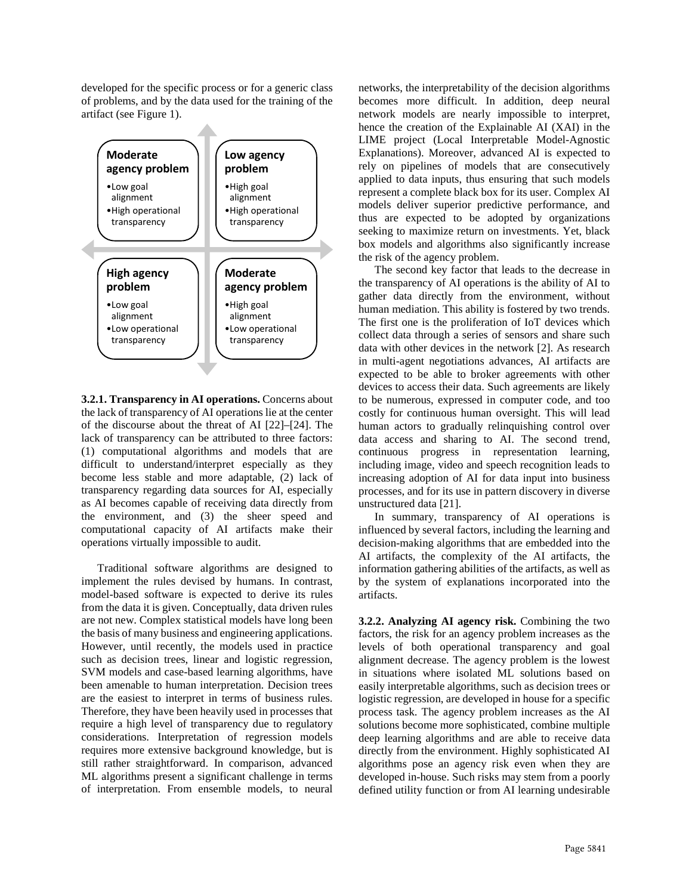developed for the specific process or for a generic class of problems, and by the data used for the training of the artifact (see Figure 1).



**3.2.1. Transparency in AI operations.** Concerns about the lack of transparency of AI operations lie at the center of the discourse about the threat of AI [22]–[24]. The lack of transparency can be attributed to three factors: (1) computational algorithms and models that are difficult to understand/interpret especially as they become less stable and more adaptable, (2) lack of transparency regarding data sources for AI, especially as AI becomes capable of receiving data directly from the environment, and (3) the sheer speed and computational capacity of AI artifacts make their operations virtually impossible to audit.

Traditional software algorithms are designed to implement the rules devised by humans. In contrast, model-based software is expected to derive its rules from the data it is given. Conceptually, data driven rules are not new. Complex statistical models have long been the basis of many business and engineering applications. However, until recently, the models used in practice such as decision trees, linear and logistic regression, SVM models and case-based learning algorithms, have been amenable to human interpretation. Decision trees are the easiest to interpret in terms of business rules. Therefore, they have been heavily used in processes that require a high level of transparency due to regulatory considerations. Interpretation of regression models requires more extensive background knowledge, but is still rather straightforward. In comparison, advanced ML algorithms present a significant challenge in terms of interpretation. From ensemble models, to neural

networks, the interpretability of the decision algorithms becomes more difficult. In addition, deep neural network models are nearly impossible to interpret, hence the creation of the Explainable AI (XAI) in the LIME project (Local Interpretable Model-Agnostic Explanations). Moreover, advanced AI is expected to rely on pipelines of models that are consecutively applied to data inputs, thus ensuring that such models represent a complete black box for its user. Complex AI models deliver superior predictive performance, and thus are expected to be adopted by organizations seeking to maximize return on investments. Yet, black box models and algorithms also significantly increase the risk of the agency problem.

The second key factor that leads to the decrease in the transparency of AI operations is the ability of AI to gather data directly from the environment, without human mediation. This ability is fostered by two trends. The first one is the proliferation of IoT devices which collect data through a series of sensors and share such data with other devices in the network [2]. As research in multi-agent negotiations advances, AI artifacts are expected to be able to broker agreements with other devices to access their data. Such agreements are likely to be numerous, expressed in computer code, and too costly for continuous human oversight. This will lead human actors to gradually relinquishing control over data access and sharing to AI. The second trend, continuous progress in representation learning, including image, video and speech recognition leads to increasing adoption of AI for data input into business processes, and for its use in pattern discovery in diverse unstructured data [21].

In summary, transparency of AI operations is influenced by several factors, including the learning and decision-making algorithms that are embedded into the AI artifacts, the complexity of the AI artifacts, the information gathering abilities of the artifacts, as well as by the system of explanations incorporated into the artifacts.

**3.2.2. Analyzing AI agency risk.** Combining the two factors, the risk for an agency problem increases as the levels of both operational transparency and goal alignment decrease. The agency problem is the lowest in situations where isolated ML solutions based on easily interpretable algorithms, such as decision trees or logistic regression, are developed in house for a specific process task. The agency problem increases as the AI solutions become more sophisticated, combine multiple deep learning algorithms and are able to receive data directly from the environment. Highly sophisticated AI algorithms pose an agency risk even when they are developed in-house. Such risks may stem from a poorly defined utility function or from AI learning undesirable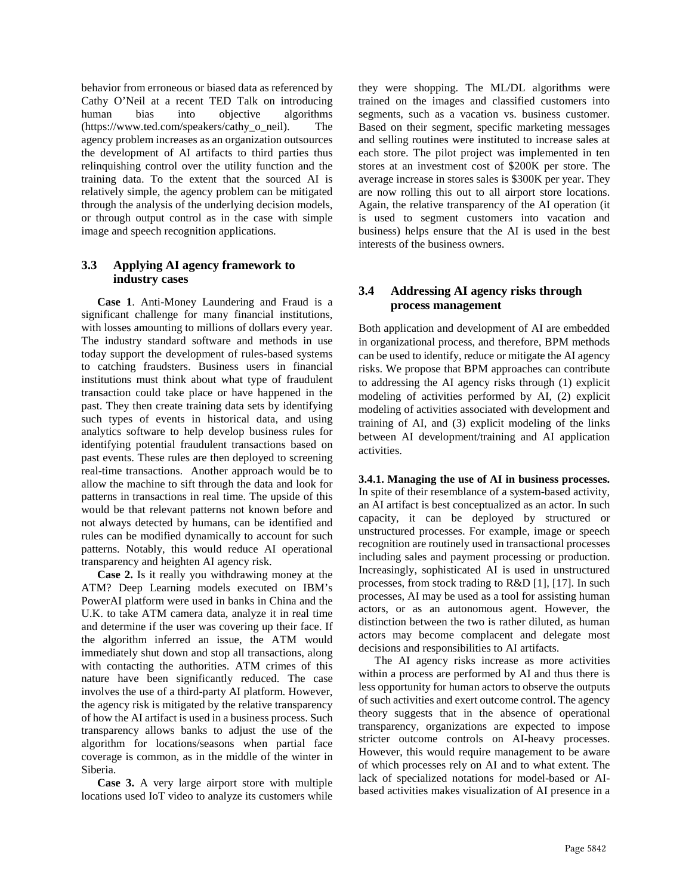behavior from erroneous or biased data as referenced by Cathy O'Neil at a recent TED Talk on introducing human bias into objective algorithms (https://www.ted.com/speakers/cathy\_o\_neil). The agency problem increases as an organization outsources the development of AI artifacts to third parties thus relinquishing control over the utility function and the training data. To the extent that the sourced AI is relatively simple, the agency problem can be mitigated through the analysis of the underlying decision models, or through output control as in the case with simple image and speech recognition applications.

### **3.3 Applying AI agency framework to industry cases**

**Case 1**. Anti-Money Laundering and Fraud is a significant challenge for many financial institutions, with losses amounting to millions of dollars every year. The industry standard software and methods in use today support the development of rules-based systems to catching fraudsters. Business users in financial institutions must think about what type of fraudulent transaction could take place or have happened in the past. They then create training data sets by identifying such types of events in historical data, and using analytics software to help develop business rules for identifying potential fraudulent transactions based on past events. These rules are then deployed to screening real-time transactions. Another approach would be to allow the machine to sift through the data and look for patterns in transactions in real time. The upside of this would be that relevant patterns not known before and not always detected by humans, can be identified and rules can be modified dynamically to account for such patterns. Notably, this would reduce AI operational transparency and heighten AI agency risk.

**Case 2.** Is it really you withdrawing money at the ATM? Deep Learning models executed on IBM's PowerAI platform were used in banks in China and the U.K. to take ATM camera data, analyze it in real time and determine if the user was covering up their face. If the algorithm inferred an issue, the ATM would immediately shut down and stop all transactions, along with contacting the authorities. ATM crimes of this nature have been significantly reduced. The case involves the use of a third-party AI platform. However, the agency risk is mitigated by the relative transparency of how the AI artifact is used in a business process. Such transparency allows banks to adjust the use of the algorithm for locations/seasons when partial face coverage is common, as in the middle of the winter in Siberia.

**Case 3.** A very large airport store with multiple locations used IoT video to analyze its customers while they were shopping. The ML/DL algorithms were trained on the images and classified customers into segments, such as a vacation vs. business customer. Based on their segment, specific marketing messages and selling routines were instituted to increase sales at each store. The pilot project was implemented in ten stores at an investment cost of \$200K per store. The average increase in stores sales is \$300K per year. They are now rolling this out to all airport store locations. Again, the relative transparency of the AI operation (it is used to segment customers into vacation and business) helps ensure that the AI is used in the best interests of the business owners.

### **3.4 Addressing AI agency risks through process management**

Both application and development of AI are embedded in organizational process, and therefore, BPM methods can be used to identify, reduce or mitigate the AI agency risks. We propose that BPM approaches can contribute to addressing the AI agency risks through (1) explicit modeling of activities performed by AI, (2) explicit modeling of activities associated with development and training of AI, and (3) explicit modeling of the links between AI development/training and AI application activities.

**3.4.1. Managing the use of AI in business processes.** In spite of their resemblance of a system-based activity, an AI artifact is best conceptualized as an actor. In such capacity, it can be deployed by structured or unstructured processes. For example, image or speech recognition are routinely used in transactional processes including sales and payment processing or production. Increasingly, sophisticated AI is used in unstructured processes, from stock trading to R&D [1], [17]. In such processes, AI may be used as a tool for assisting human actors, or as an autonomous agent. However, the distinction between the two is rather diluted, as human actors may become complacent and delegate most decisions and responsibilities to AI artifacts.

The AI agency risks increase as more activities within a process are performed by AI and thus there is less opportunity for human actors to observe the outputs of such activities and exert outcome control. The agency theory suggests that in the absence of operational transparency, organizations are expected to impose stricter outcome controls on AI-heavy processes. However, this would require management to be aware of which processes rely on AI and to what extent. The lack of specialized notations for model-based or AIbased activities makes visualization of AI presence in a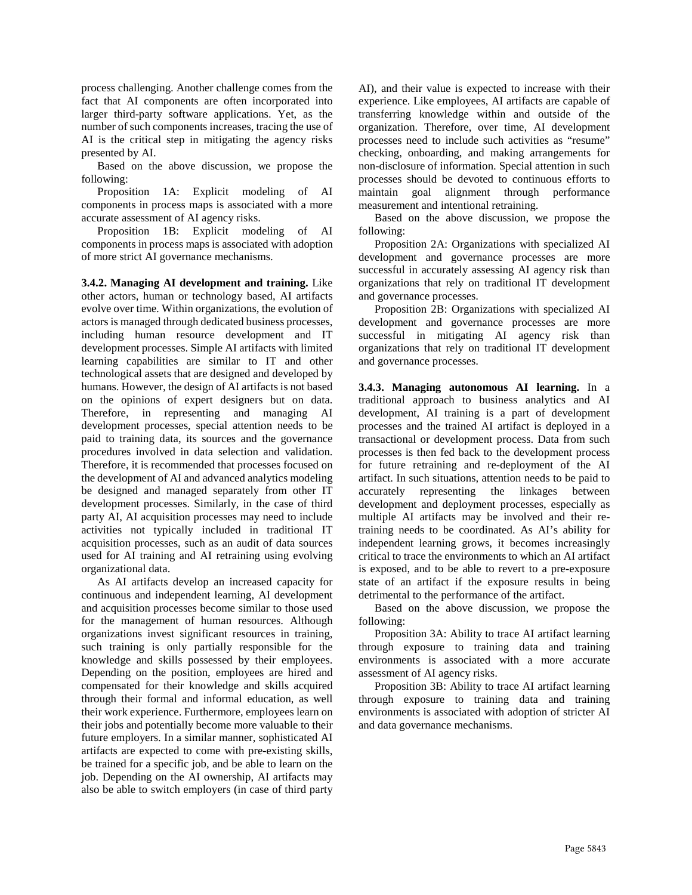process challenging. Another challenge comes from the fact that AI components are often incorporated into larger third-party software applications. Yet, as the number of such components increases, tracing the use of AI is the critical step in mitigating the agency risks presented by AI.

Based on the above discussion, we propose the following:

Proposition 1A: Explicit modeling of AI components in process maps is associated with a more accurate assessment of AI agency risks.

Proposition 1B: Explicit modeling of AI components in process maps is associated with adoption of more strict AI governance mechanisms.

**3.4.2. Managing AI development and training.** Like other actors, human or technology based, AI artifacts evolve over time. Within organizations, the evolution of actors is managed through dedicated business processes, including human resource development and IT development processes. Simple AI artifacts with limited learning capabilities are similar to IT and other technological assets that are designed and developed by humans. However, the design of AI artifacts is not based on the opinions of expert designers but on data. Therefore, in representing and managing AI development processes, special attention needs to be paid to training data, its sources and the governance procedures involved in data selection and validation. Therefore, it is recommended that processes focused on the development of AI and advanced analytics modeling be designed and managed separately from other IT development processes. Similarly, in the case of third party AI, AI acquisition processes may need to include activities not typically included in traditional IT acquisition processes, such as an audit of data sources used for AI training and AI retraining using evolving organizational data.

As AI artifacts develop an increased capacity for continuous and independent learning, AI development and acquisition processes become similar to those used for the management of human resources. Although organizations invest significant resources in training, such training is only partially responsible for the knowledge and skills possessed by their employees. Depending on the position, employees are hired and compensated for their knowledge and skills acquired through their formal and informal education, as well their work experience. Furthermore, employees learn on their jobs and potentially become more valuable to their future employers. In a similar manner, sophisticated AI artifacts are expected to come with pre-existing skills, be trained for a specific job, and be able to learn on the job. Depending on the AI ownership, AI artifacts may also be able to switch employers (in case of third party

AI), and their value is expected to increase with their experience. Like employees, AI artifacts are capable of transferring knowledge within and outside of the organization. Therefore, over time, AI development processes need to include such activities as "resume" checking, onboarding, and making arrangements for non-disclosure of information. Special attention in such processes should be devoted to continuous efforts to maintain goal alignment through performance measurement and intentional retraining.

Based on the above discussion, we propose the following:

Proposition 2A: Organizations with specialized AI development and governance processes are more successful in accurately assessing AI agency risk than organizations that rely on traditional IT development and governance processes.

Proposition 2B: Organizations with specialized AI development and governance processes are more successful in mitigating AI agency risk than organizations that rely on traditional IT development and governance processes.

**3.4.3. Managing autonomous AI learning.** In a traditional approach to business analytics and AI development, AI training is a part of development processes and the trained AI artifact is deployed in a transactional or development process. Data from such processes is then fed back to the development process for future retraining and re-deployment of the AI artifact. In such situations, attention needs to be paid to accurately representing the linkages between development and deployment processes, especially as multiple AI artifacts may be involved and their retraining needs to be coordinated. As AI's ability for independent learning grows, it becomes increasingly critical to trace the environments to which an AI artifact is exposed, and to be able to revert to a pre-exposure state of an artifact if the exposure results in being detrimental to the performance of the artifact.

Based on the above discussion, we propose the following:

Proposition 3A: Ability to trace AI artifact learning through exposure to training data and training environments is associated with a more accurate assessment of AI agency risks.

Proposition 3B: Ability to trace AI artifact learning through exposure to training data and training environments is associated with adoption of stricter AI and data governance mechanisms.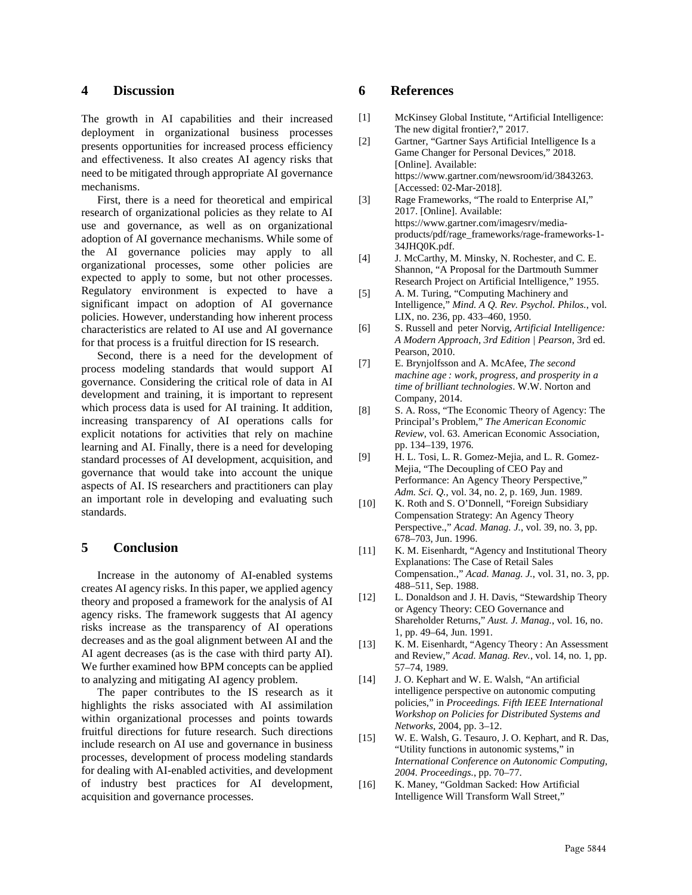### **4 Discussion**

The growth in AI capabilities and their increased deployment in organizational business processes presents opportunities for increased process efficiency and effectiveness. It also creates AI agency risks that need to be mitigated through appropriate AI governance mechanisms.

First, there is a need for theoretical and empirical research of organizational policies as they relate to AI use and governance, as well as on organizational adoption of AI governance mechanisms. While some of the AI governance policies may apply to all organizational processes, some other policies are expected to apply to some, but not other processes. Regulatory environment is expected to have a significant impact on adoption of AI governance policies. However, understanding how inherent process characteristics are related to AI use and AI governance for that process is a fruitful direction for IS research.

Second, there is a need for the development of process modeling standards that would support AI governance. Considering the critical role of data in AI development and training, it is important to represent which process data is used for AI training. It addition, increasing transparency of AI operations calls for explicit notations for activities that rely on machine learning and AI. Finally, there is a need for developing standard processes of AI development, acquisition, and governance that would take into account the unique aspects of AI. IS researchers and practitioners can play an important role in developing and evaluating such standards.

#### **5 Conclusion**

Increase in the autonomy of AI-enabled systems creates AI agency risks. In this paper, we applied agency theory and proposed a framework for the analysis of AI agency risks. The framework suggests that AI agency risks increase as the transparency of AI operations decreases and as the goal alignment between AI and the AI agent decreases (as is the case with third party AI). We further examined how BPM concepts can be applied to analyzing and mitigating AI agency problem.

The paper contributes to the IS research as it highlights the risks associated with AI assimilation within organizational processes and points towards fruitful directions for future research. Such directions include research on AI use and governance in business processes, development of process modeling standards for dealing with AI-enabled activities, and development of industry best practices for AI development, acquisition and governance processes.

#### **6 References**

- [1] McKinsey Global Institute, "Artificial Intelligence: The new digital frontier?," 2017.
- [2] Gartner, "Gartner Says Artificial Intelligence Is a Game Changer for Personal Devices," 2018. [Online]. Available: https://www.gartner.com/newsroom/id/3843263. [Accessed: 02-Mar-2018].
- [3] Rage Frameworks, "The roald to Enterprise AI," 2017. [Online]. Available: https://www.gartner.com/imagesrv/mediaproducts/pdf/rage\_frameworks/rage-frameworks-1- 34JHQ0K.pdf.
- [4] J. McCarthy, M. Minsky, N. Rochester, and C. E. Shannon, "A Proposal for the Dartmouth Summer Research Project on Artificial Intelligence," 1955.
- [5] A. M. Turing, "Computing Machinery and Intelligence," *Mind. A Q. Rev. Psychol. Philos.*, vol. LIX, no. 236, pp. 433–460, 1950.
- [6] S. Russell and peter Norvig, *Artificial Intelligence: A Modern Approach, 3rd Edition | Pearson*, 3rd ed. Pearson, 2010.
- [7] E. Brynjolfsson and A. McAfee, *The second machine age : work, progress, and prosperity in a time of brilliant technologies*. W.W. Norton and Company, 2014.
- [8] S. A. Ross, "The Economic Theory of Agency: The Principal's Problem," *The American Economic Review*, vol. 63. American Economic Association, pp. 134–139, 1976.
- [9] H. L. Tosi, L. R. Gomez-Mejia, and L. R. Gomez-Mejia, "The Decoupling of CEO Pay and Performance: An Agency Theory Perspective," *Adm. Sci. Q.*, vol. 34, no. 2, p. 169, Jun. 1989.
- [10] K. Roth and S. O'Donnell, "Foreign Subsidiary Compensation Strategy: An Agency Theory Perspective.," *Acad. Manag. J.*, vol. 39, no. 3, pp. 678–703, Jun. 1996.
- [11] K. M. Eisenhardt, "Agency and Institutional Theory Explanations: The Case of Retail Sales Compensation.," *Acad. Manag. J.*, vol. 31, no. 3, pp. 488–511, Sep. 1988.
- [12] L. Donaldson and J. H. Davis, "Stewardship Theory or Agency Theory: CEO Governance and Shareholder Returns," *Aust. J. Manag.*, vol. 16, no. 1, pp. 49–64, Jun. 1991.
- [13] K. M. Eisenhardt, "Agency Theory : An Assessment and Review," *Acad. Manag. Rev.*, vol. 14, no. 1, pp. 57–74, 1989.
- [14] J. O. Kephart and W. E. Walsh, "An artificial intelligence perspective on autonomic computing policies," in *Proceedings. Fifth IEEE International Workshop on Policies for Distributed Systems and Networks*, 2004, pp. 3–12.
- [15] W. E. Walsh, G. Tesauro, J. O. Kephart, and R. Das, "Utility functions in autonomic systems," in *International Conference on Autonomic Computing, 2004. Proceedings.*, pp. 70–77.
- [16] K. Maney, "Goldman Sacked: How Artificial Intelligence Will Transform Wall Street,"